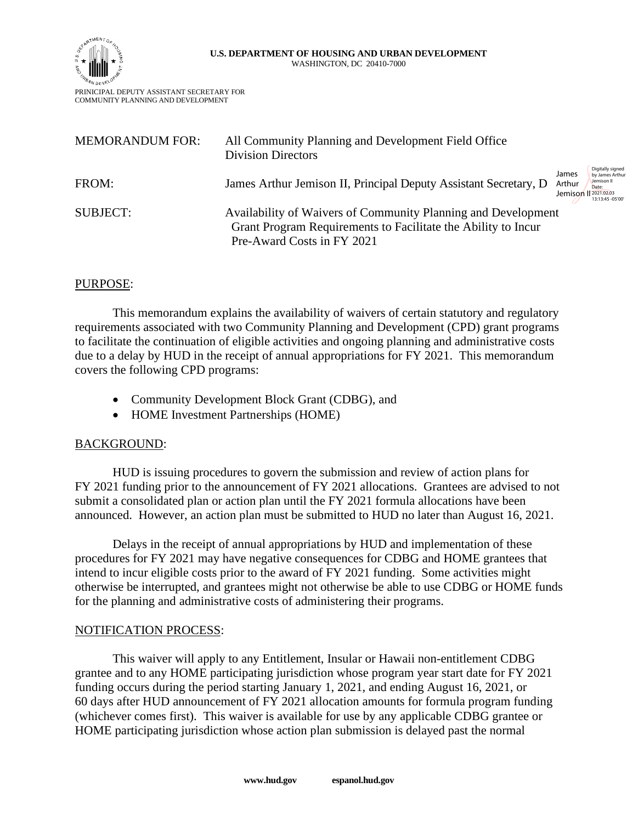

PRINICIPAL DEPUTY ASSISTANT SECRETARY FOR COMMUNITY PLANNING AND DEVELOPMENT

| <b>MEMORANDUM FOR:</b> | All Community Planning and Development Field Office<br><b>Division Directors</b>                                                                             |                                                                                                                             |
|------------------------|--------------------------------------------------------------------------------------------------------------------------------------------------------------|-----------------------------------------------------------------------------------------------------------------------------|
| FROM:                  | James Arthur Jemison II, Principal Deputy Assistant Secretary, D.                                                                                            | Digitally signed<br>James<br>by James Arthur<br>Jemison II<br>Arthur<br>Date:<br>Jemison    2021.02.03<br>13:13:45 - 05'00" |
| <b>SUBJECT:</b>        | Availability of Waivers of Community Planning and Development<br>Grant Program Requirements to Facilitate the Ability to Incur<br>Pre-Award Costs in FY 2021 |                                                                                                                             |

# PURPOSE:

This memorandum explains the availability of waivers of certain statutory and regulatory requirements associated with two Community Planning and Development (CPD) grant programs to facilitate the continuation of eligible activities and ongoing planning and administrative costs due to a delay by HUD in the receipt of annual appropriations for FY 2021. This memorandum covers the following CPD programs:

- Community Development Block Grant (CDBG), and
- HOME Investment Partnerships (HOME)

# BACKGROUND:

HUD is issuing procedures to govern the submission and review of action plans for FY 2021 funding prior to the announcement of FY 2021 allocations. Grantees are advised to not submit a consolidated plan or action plan until the FY 2021 formula allocations have been announced. However, an action plan must be submitted to HUD no later than August 16, 2021.

Delays in the receipt of annual appropriations by HUD and implementation of these procedures for FY 2021 may have negative consequences for CDBG and HOME grantees that intend to incur eligible costs prior to the award of FY 2021 funding. Some activities might otherwise be interrupted, and grantees might not otherwise be able to use CDBG or HOME funds for the planning and administrative costs of administering their programs.

# NOTIFICATION PROCESS:

This waiver will apply to any Entitlement, Insular or Hawaii non-entitlement CDBG grantee and to any HOME participating jurisdiction whose program year start date for FY 2021 funding occurs during the period starting January 1, 2021, and ending August 16, 2021, or 60 days after HUD announcement of FY 2021 allocation amounts for formula program funding (whichever comes first). This waiver is available for use by any applicable CDBG grantee or HOME participating jurisdiction whose action plan submission is delayed past the normal